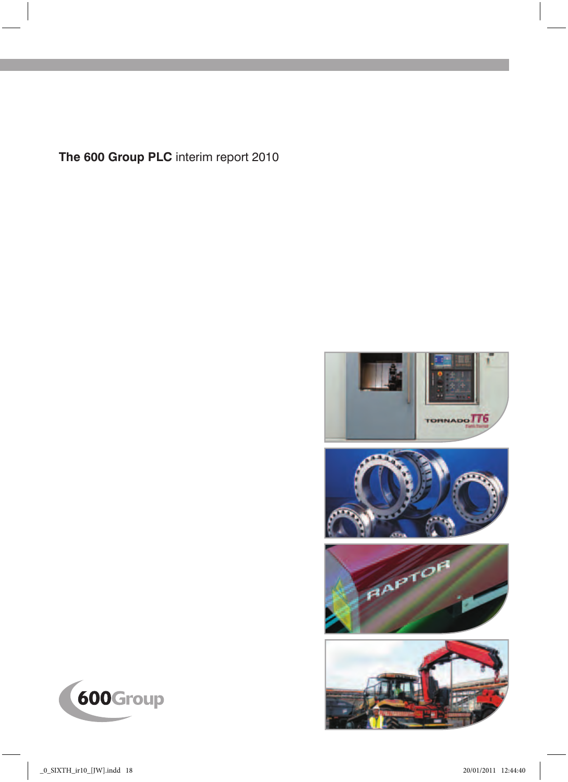**The 600 Group PLC** interim report 2010









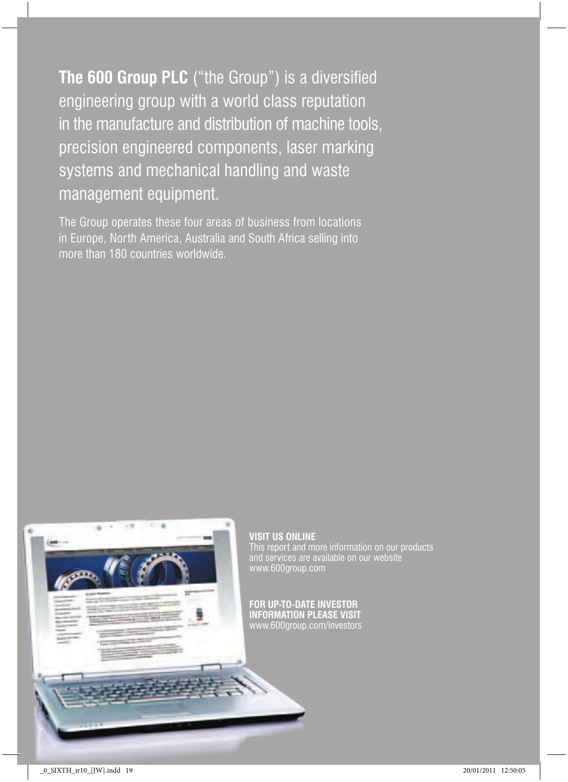**The 600 Group PLC** ("the Group") is a diversified engineering group with a world class reputation in the manufacture and distribution of machine tools, precision engineered components, laser marking systems and mechanical handling and waste management equipment.

The Group operates these four areas of business from locations in Europe, North America, Australia and South Africa selling into more than 180 countries worldwide.



## **visit us online** This report and more information on our products www.600group.com

**For Up-to-date investor information please visit** www.600group.com/investors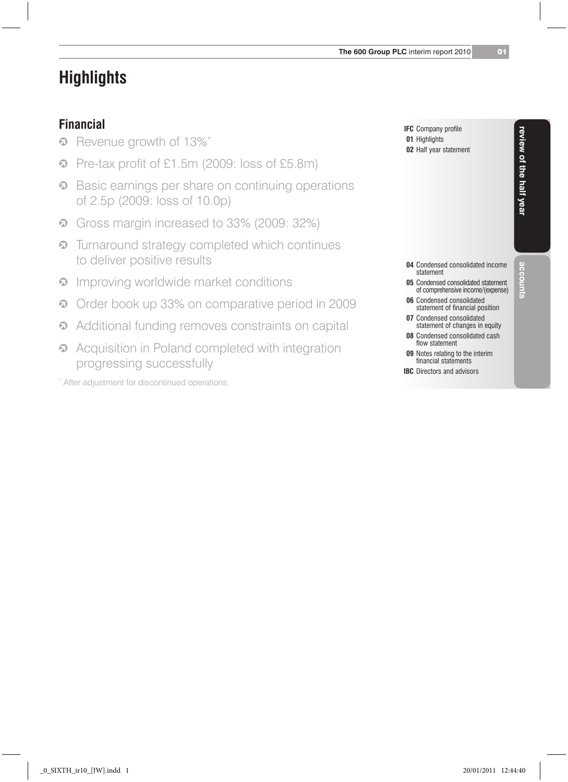# **Highlights**

### **Financial**

- **2** Revenue growth of 13%\*
- j Pre-tax profit of £1.5m (2009: loss of £5.8m)
- Basic earnings per share on continuing operations of 2.5p (2009: loss of 10.0p)
- <sup>2</sup> Gross margin increased to 33% (2009: 32%)
- Turnaround strategy completed which continues to deliver positive results
- **<sup>2</sup>** Improving worldwide market conditions
- **D** Order book up 33% on comparative period in 2009
- Additional funding removes constraints on capital
- Acquisition in Poland completed with integration progressing successfully

\* After adjustment for discontinued operations.

| <b>IFC</b> Company profile |
|----------------------------|
| 01 Highlights              |
| 02 Half year statement     |

- **04** Condensed consolidated income statement
- **05** Condensed consolidated statement of comprehensive income/(expense)
- **06** Condensed consolidated statement of financial position
- **07** Condensed consolidated statement of changes in equity
- **08** Condensed consolidated cash flow statement
- **09** Notes relating to the interim financial statements
- **IBC** Directors and advisors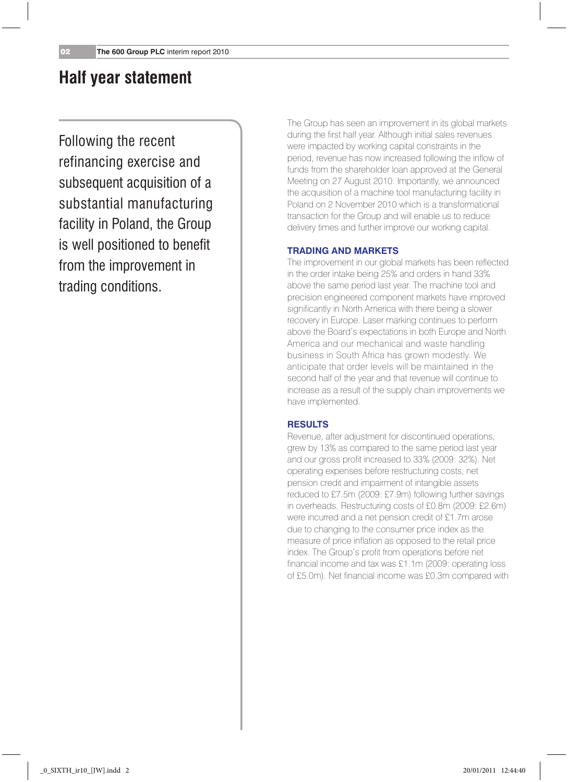## **Half year statement**

Following the recent refinancing exercise and subsequent acquisition of a substantial manufacturing facility in Poland, the Group is well positioned to benefit from the improvement in trading conditions.

The Group has seen an improvement in its global markets during the first half year. Although initial sales revenues were impacted by working capital constraints in the period, revenue has now increased following the inflow of funds from the shareholder loan approved at the General Meeting on 27 August 2010. Importantly, we announced the acquisition of a machine tool manufacturing facility in Poland on 2 November 2010 which is a transformational transaction for the Group and will enable us to reduce delivery times and further improve our working capital.

#### **Trading and Markets**

The improvement in our global markets has been reflected in the order intake being 25% and orders in hand 33% above the same period last year. The machine tool and precision engineered component markets have improved significantly in North America with there being a slower recovery in Europe. Laser marking continues to perform above the Board's expectations in both Europe and North America and our mechanical and waste handling business in South Africa has grown modestly. We anticipate that order levels will be maintained in the second half of the year and that revenue will continue to increase as a result of the supply chain improvements we have implemented.

#### **Results**

Revenue, after adjustment for discontinued operations, grew by 13% as compared to the same period last year and our gross profit increased to 33% (2009: 32%). Net operating expenses before restructuring costs, net pension credit and impairment of intangible assets reduced to £7.5m (2009: £7.9m) following further savings in overheads. Restructuring costs of £0.8m (2009: £2.6m) were incurred and a net pension credit of £1.7m arose due to changing to the consumer price index as the measure of price inflation as opposed to the retail price index. The Group's profit from operations before net financial income and tax was £1.1m (2009: operating loss of £5.0m). Net financial income was £0.3m compared with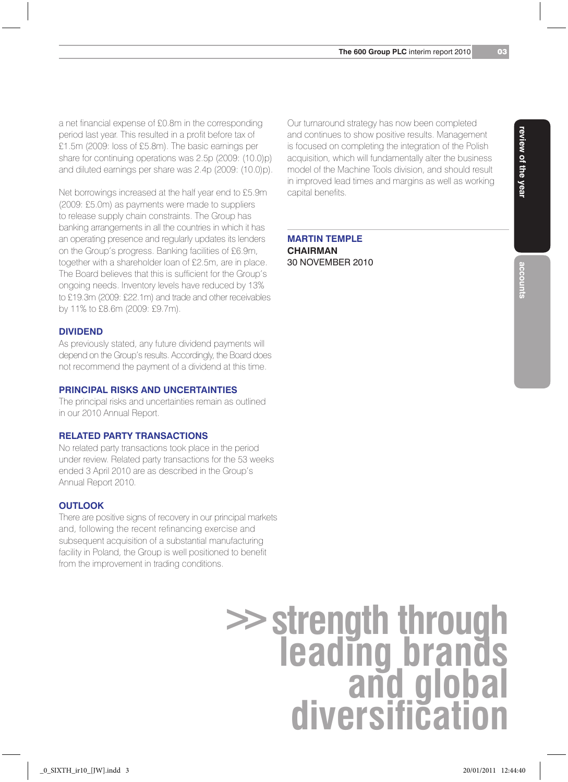a net financial expense of £0.8m in the corresponding period last year. This resulted in a profit before tax of £1.5m (2009: loss of £5.8m). The basic earnings per share for continuing operations was 2.5p (2009: (10.0)p) and diluted earnings per share was 2.4p (2009: (10.0)p).

Net borrowings increased at the half year end to £5.9m (2009: £5.0m) as payments were made to suppliers to release supply chain constraints. The Group has banking arrangements in all the countries in which it has an operating presence and regularly updates its lenders on the Group's progress. Banking facilities of £6.9m, together with a shareholder loan of £2.5m, are in place. The Board believes that this is sufficient for the Group's ongoing needs. Inventory levels have reduced by 13% to £19.3m (2009: £22.1m) and trade and other receivables by 11% to £8.6m (2009: £9.7m).

#### **Dividend**

As previously stated, any future dividend payments will depend on the Group's results. Accordingly, the Board does not recommend the payment of a dividend at this time.

#### **Principal Risks and Uncertainties**

The principal risks and uncertainties remain as outlined in our 2010 Annual Report.

#### **Related Party Transactions**

No related party transactions took place in the period under review. Related party transactions for the 53 weeks ended 3 April 2010 are as described in the Group's Annual Report 2010.

#### **Outlook**

There are positive signs of recovery in our principal markets and, following the recent refinancing exercise and subsequent acquisition of a substantial manufacturing facility in Poland, the Group is well positioned to benefit from the improvement in trading conditions.

Our turnaround strategy has now been completed and continues to show positive results. Management is focused on completing the integration of the Polish acquisition, which will fundamentally alter the business model of the Machine Tools division, and should result in improved lead times and margins as well as working capital benefits.

#### **Martin Temple Chairman** 30 November 2010

# **>>strength through leading brands and global diversification**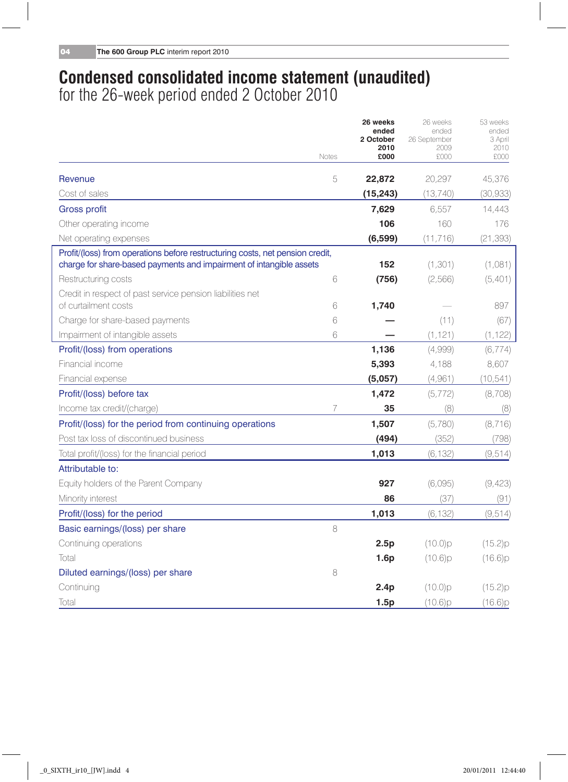## **Condensed consolidated income statement (unaudited)** for the 26-week period ended 2 October 2010

|                                                                                                                                                      |       | 26 weeks<br>ended<br>2 October<br>2010 | 26 weeks<br>ended<br>26 September<br>2009 | 53 weeks<br>ended<br>3 April<br>2010 |
|------------------------------------------------------------------------------------------------------------------------------------------------------|-------|----------------------------------------|-------------------------------------------|--------------------------------------|
|                                                                                                                                                      | Notes | £000                                   | £000                                      | £000                                 |
| Revenue                                                                                                                                              | 5     | 22,872                                 | 20,297                                    | 45,376                               |
| Cost of sales                                                                                                                                        |       | (15, 243)                              | (13, 740)                                 | (30, 933)                            |
| <b>Gross profit</b>                                                                                                                                  |       | 7,629                                  | 6,557                                     | 14,443                               |
| Other operating income                                                                                                                               |       | 106                                    | 160                                       | 176                                  |
| Net operating expenses                                                                                                                               |       | (6,599)                                | (11, 716)                                 | (21, 393)                            |
| Profit/(loss) from operations before restructuring costs, net pension credit,<br>charge for share-based payments and impairment of intangible assets |       | 152                                    | (1, 301)                                  | (1,081)                              |
| Restructuring costs                                                                                                                                  | 6     | (756)                                  | (2,566)                                   | (5,401)                              |
| Credit in respect of past service pension liabilities net<br>of curtailment costs                                                                    | 6     | 1,740                                  |                                           | 897                                  |
| Charge for share-based payments                                                                                                                      | 6     |                                        | (11)                                      | (67)                                 |
| Impairment of intangible assets                                                                                                                      | 6     |                                        | (1, 121)                                  | (1, 122)                             |
| Profit/(loss) from operations                                                                                                                        |       | 1,136                                  | (4,999)                                   | (6, 774)                             |
| Financial income                                                                                                                                     |       | 5,393                                  | 4,188                                     | 8,607                                |
| Financial expense                                                                                                                                    |       | (5,057)                                | (4,961)                                   | (10, 541)                            |
| Profit/(loss) before tax                                                                                                                             |       | 1,472                                  | (5, 772)                                  | (8,708)                              |
| Income tax credit/(charge)                                                                                                                           | 7     | 35                                     | (8)                                       | (8)                                  |
| Profit/(loss) for the period from continuing operations                                                                                              |       | 1,507                                  | (5,780)                                   | (8, 716)                             |
| Post tax loss of discontinued business                                                                                                               |       | (494)                                  | (352)                                     | (798)                                |
| Total profit/(loss) for the financial period                                                                                                         |       | 1,013                                  | (6, 132)                                  | (9, 514)                             |
| Attributable to:                                                                                                                                     |       |                                        |                                           |                                      |
| Equity holders of the Parent Company                                                                                                                 |       | 927                                    | (6,095)                                   | (9,423)                              |
| Minority interest                                                                                                                                    |       | 86                                     | (37)                                      | (91)                                 |
| Profit/(loss) for the period                                                                                                                         |       | 1,013                                  | (6, 132)                                  | (9, 514)                             |
| Basic earnings/(loss) per share                                                                                                                      | 8     |                                        |                                           |                                      |
| Continuing operations                                                                                                                                |       | 2.5p                                   | (10.0)p                                   | (15.2)p                              |
| Total                                                                                                                                                |       | 1.6p                                   | (10.6)p                                   | (16.6)p                              |
| Diluted earnings/(loss) per share                                                                                                                    | 8     |                                        |                                           |                                      |
| Continuing                                                                                                                                           |       | 2.4p                                   | $(10.0)$ p                                | (15.2)p                              |
| Total                                                                                                                                                |       | 1.5p                                   | (10.6)p                                   | (16.6)p                              |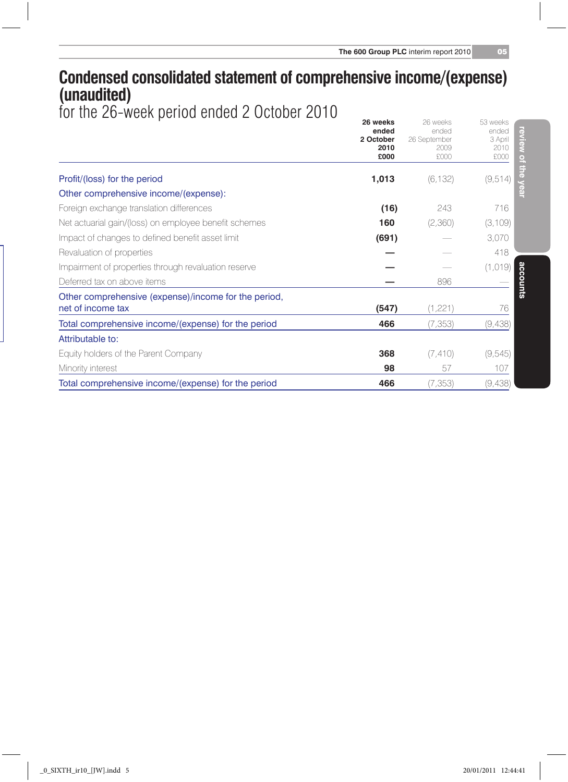## **Condensed consolidated statement of comprehensive income/(expense) (unaudited)**

for the 26-week period ended 2 October 2010 **26 weeks** 26 weeks 53 weeks

|                                                       | zo weens<br>ended<br>2 October<br>2010<br>£000 | ZU MEEKS<br>ended<br>26 September<br>2009<br>£000 | OO MAGUS<br>review<br>ended<br>3 April<br>2010<br>£000 |
|-------------------------------------------------------|------------------------------------------------|---------------------------------------------------|--------------------------------------------------------|
| Profit/(loss) for the period                          | 1,013                                          | (6, 132)                                          | (9, 514)                                               |
| Other comprehensive income/(expense):                 |                                                |                                                   |                                                        |
| Foreign exchange translation differences              | (16)                                           | 243                                               | 716                                                    |
| Net actuarial gain/(loss) on employee benefit schemes | 160                                            | (2,360)                                           | (3,109)                                                |
| Impact of changes to defined benefit asset limit      | (691)                                          |                                                   | 3,070                                                  |
| Revaluation of properties                             |                                                |                                                   | 418                                                    |
| Impairment of properties through revaluation reserve  |                                                |                                                   | (1, 019)                                               |
| Deferred tax on above items                           |                                                | 896                                               | accounts                                               |
| Other comprehensive (expense)/income for the period,  |                                                |                                                   |                                                        |
| net of income tax                                     | (547)                                          | (1,221)                                           | 76                                                     |
| Total comprehensive income/(expense) for the period   | 466                                            | (7, 353)                                          | (9,438)                                                |
| Attributable to:                                      |                                                |                                                   |                                                        |
| Equity holders of the Parent Company                  | 368                                            | (7, 410)                                          | (9, 545)                                               |
| Minority interest                                     | 98                                             | 57                                                | 107                                                    |
| Total comprehensive income/(expense) for the period   | 466                                            | (7, 353)                                          | (9,438)                                                |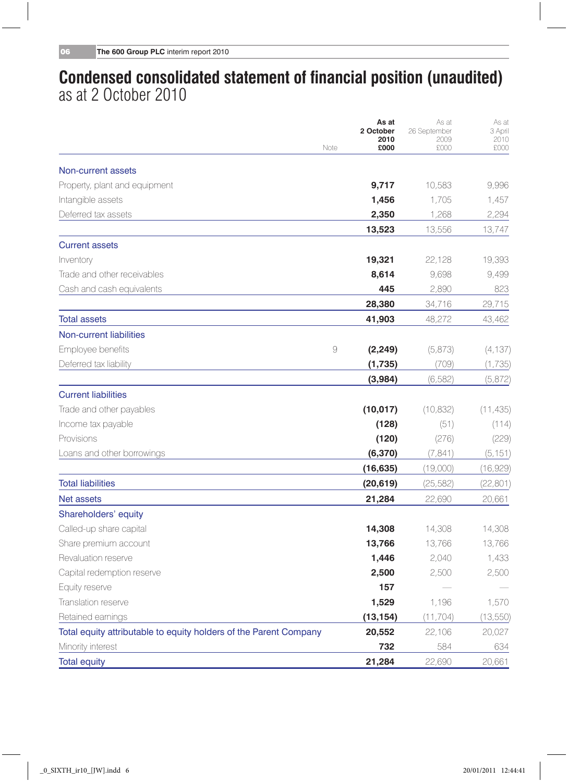## **Condensed consolidated statement of financial position (unaudited)** as at 2 October 2010

|                                                                   | As at<br>2 October         | As at<br>26 September | As at<br>3 April |
|-------------------------------------------------------------------|----------------------------|-----------------------|------------------|
|                                                                   | 2010<br>£000<br>Note       | 2009<br>£000          | 2010<br>£000     |
| Non-current assets                                                |                            |                       |                  |
| Property, plant and equipment                                     | 9,717                      | 10,583                | 9,996            |
| Intangible assets                                                 | 1,456                      | 1,705                 | 1,457            |
| Deferred tax assets                                               | 2,350                      | 1,268                 | 2,294            |
|                                                                   | 13,523                     | 13,556                | 13,747           |
| <b>Current assets</b>                                             |                            |                       |                  |
| Inventory                                                         | 19,321                     | 22,128                | 19,393           |
| Trade and other receivables                                       | 8,614                      | 9.698                 | 9,499            |
| Cash and cash equivalents                                         | 445                        | 2,890                 | 823              |
|                                                                   | 28,380                     | 34,716                | 29,715           |
| <b>Total assets</b>                                               | 41,903                     | 48,272                | 43,462           |
| <b>Non-current liabilities</b>                                    |                            |                       |                  |
| Employee benefits                                                 | $\overline{9}$<br>(2, 249) | (5,873)               | (4, 137)         |
| Deferred tax liability                                            | (1,735)                    | (709)                 | (1,735)          |
|                                                                   | (3,984)                    | (6, 582)              | (5,872)          |
| <b>Current liabilities</b>                                        |                            |                       |                  |
| Trade and other payables                                          | (10, 017)                  | (10, 832)             | (11, 435)        |
| Income tax payable                                                | (128)                      | (51)                  | (114)            |
| Provisions                                                        | (120)                      | (276)                 | (229)            |
| Loans and other borrowings                                        | (6,370)                    | (7, 841)              | (5, 151)         |
|                                                                   | (16, 635)                  | (19,000)              | (16,929)         |
| <b>Total liabilities</b>                                          | (20, 619)                  | (25, 582)             | (22, 801)        |
| Net assets                                                        | 21,284                     | 22,690                | 20,661           |
| Shareholders' equity                                              |                            |                       |                  |
| Called-up share capital                                           | 14,308                     | 14,308                | 14,308           |
| Share premium account                                             | 13,766                     | 13,766                | 13,766           |
| Revaluation reserve                                               | 1,446                      | 2,040                 | 1,433            |
| Capital redemption reserve                                        | 2,500                      | 2,500                 | 2,500            |
| Equity reserve                                                    | 157                        |                       |                  |
| Translation reserve                                               | 1,529                      | 1,196                 | 1,570            |
| Retained earnings                                                 | (13, 154)                  | (11, 704)             | (13, 550)        |
| Total equity attributable to equity holders of the Parent Company | 20,552                     | 22,106                | 20,027           |
| Minority interest                                                 | 732                        | 584                   | 634              |
| <b>Total equity</b>                                               | 21.284                     | 22,690                | 20.661           |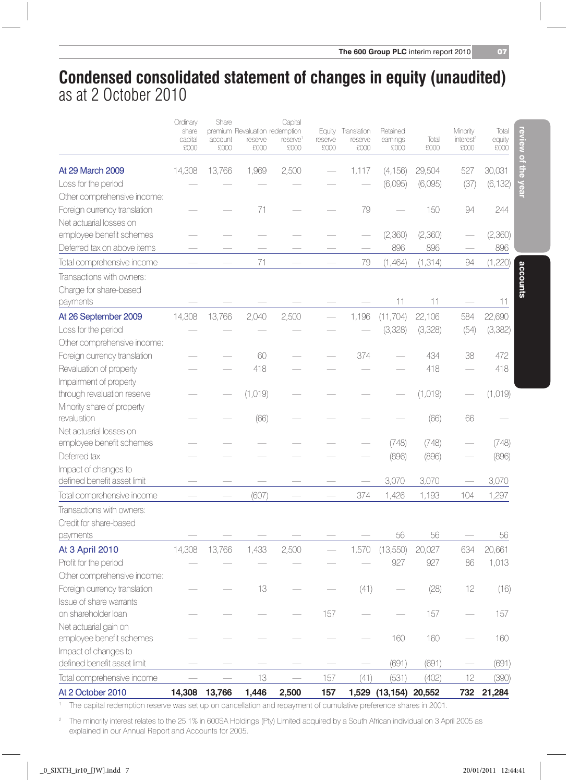**review of the year**

review of the year

**accounts**

accounts

## **Condensed consolidated statement of changes in equity (unaudited)** as at 2 October 2010

|                                                     | Ordinary<br>share | Share   | premium Revaluation redemption | Capital              | Equity  | Translation | Retained              |          | Minority              | Total    |
|-----------------------------------------------------|-------------------|---------|--------------------------------|----------------------|---------|-------------|-----------------------|----------|-----------------------|----------|
|                                                     | capital           | account | reserve                        | reserve <sup>1</sup> | reserve | reserve     | earnings              | Total    | interest <sup>2</sup> | equity   |
|                                                     | £000              | £000    | £000                           | £000                 | £000    | £000        | £000                  | £000     | £000                  | £000     |
| At 29 March 2009                                    | 14,308            | 13,766  | 1,969                          | 2,500                |         | 1,117       | (4, 156)              | 29,504   | 527                   | 30,031   |
| Loss for the period                                 |                   |         |                                |                      |         |             | (6,095)               | (6,095)  | (37)                  | (6, 132) |
| Other comprehensive income:                         |                   |         |                                |                      |         |             |                       |          |                       |          |
| Foreign currency translation                        |                   |         | 71                             |                      |         | 79          |                       | 150      | 94                    | 244      |
| Net actuarial losses on                             |                   |         |                                |                      |         |             |                       |          |                       |          |
| employee benefit schemes                            |                   |         |                                |                      |         |             | (2,360)               | (2,360)  |                       | (2,360)  |
| Deferred tax on above items                         |                   |         |                                |                      |         |             | 896                   | 896      |                       | 896      |
| Total comprehensive income                          |                   |         | 71                             |                      |         | 79          | (1,464)               | (1, 314) | 94                    | (1,220)  |
| Transactions with owners:                           |                   |         |                                |                      |         |             |                       |          |                       |          |
| Charge for share-based                              |                   |         |                                |                      |         |             |                       |          |                       |          |
| payments                                            |                   |         |                                |                      |         |             | 11                    | 11       |                       | 11       |
| At 26 September 2009                                | 14,308            | 13,766  | 2,040                          | 2,500                |         | 1,196       | (11, 704)             | 22,106   | 584                   | 22,690   |
| Loss for the period                                 |                   |         |                                |                      |         |             | (3,328)               | (3,328)  | (54)                  | (3,382)  |
| Other comprehensive income:                         |                   |         |                                |                      |         |             |                       |          |                       |          |
| Foreign currency translation                        |                   |         | 60                             |                      |         | 374         |                       | 434      | 38                    | 472      |
| Revaluation of property                             |                   |         | 418                            |                      |         |             |                       | 418      |                       | 418      |
| Impairment of property                              |                   |         |                                |                      |         |             |                       |          |                       |          |
| through revaluation reserve                         |                   |         | (1,019)                        |                      |         |             |                       | (1,019)  |                       | (1,019)  |
| Minority share of property                          |                   |         |                                |                      |         |             |                       |          |                       |          |
| revaluation                                         |                   |         | (66)                           |                      |         |             |                       | (66)     | 66                    |          |
| Net actuarial losses on                             |                   |         |                                |                      |         |             |                       |          |                       |          |
| employee benefit schemes                            |                   |         |                                |                      |         |             | (748)                 | (748)    |                       | (748)    |
| Deferred tax                                        |                   |         |                                |                      |         |             | (896)                 | (896)    |                       | (896)    |
| Impact of changes to                                |                   |         |                                |                      |         |             |                       |          |                       |          |
| defined benefit asset limit                         |                   |         |                                |                      |         |             | 3,070                 | 3,070    |                       | 3,070    |
| Total comprehensive income                          |                   |         | (607)                          |                      |         | 374         | 1,426                 | 1,193    | 104                   | 1,297    |
| Transactions with owners:                           |                   |         |                                |                      |         |             |                       |          |                       |          |
| Credit for share-based                              |                   |         |                                |                      |         |             |                       |          |                       |          |
| payments                                            |                   |         |                                |                      |         |             | 56                    | 56       |                       | 56       |
| <b>At 3 April 2010</b>                              | 14,308            | 13,766  | 1,433                          | 2,500                |         | 1,570       | (13,550)              | 20,027   | 634                   | 20.661   |
| Profit for the period                               |                   |         |                                |                      |         |             | 927                   | 927      | 86                    | 1,013    |
| Other comprehensive income:                         |                   |         |                                |                      |         |             |                       |          |                       |          |
| Foreign currency translation                        |                   |         | 13                             |                      |         | (41)        |                       | (28)     | 12                    | (16)     |
| Issue of share warrants                             |                   |         |                                |                      |         |             |                       |          |                       |          |
| on shareholder loan                                 |                   |         |                                |                      | 157     |             |                       | 157      |                       | 157      |
| Net actuarial gain on                               |                   |         |                                |                      |         |             | 160                   | 160      |                       |          |
| employee benefit schemes                            |                   |         |                                |                      |         |             |                       |          |                       | 160      |
| Impact of changes to<br>defined benefit asset limit |                   |         |                                |                      |         |             | (691)                 | (691)    |                       | (691)    |
| Total comprehensive income                          |                   |         | 13                             |                      | 157     | (41)        | (531)                 | (402)    | 12                    | (390)    |
|                                                     |                   |         |                                |                      |         |             |                       |          |                       |          |
| At 2 October 2010                                   | 14.308            | 13.766  | 1.446                          | 2.500                | 157     |             | 1,529 (13,154) 20,552 |          | 732                   | 21,284   |

<sup>1</sup> The capital redemption reserve was set up on cancellation and repayment of cumulative preference shares in 2001.

<sup>2</sup> The minority interest relates to the 25.1% in 600SA Holdings (Pty) Limited acquired by a South African individual on 3 April 2005 as explained in our Annual Report and Accounts for 2005.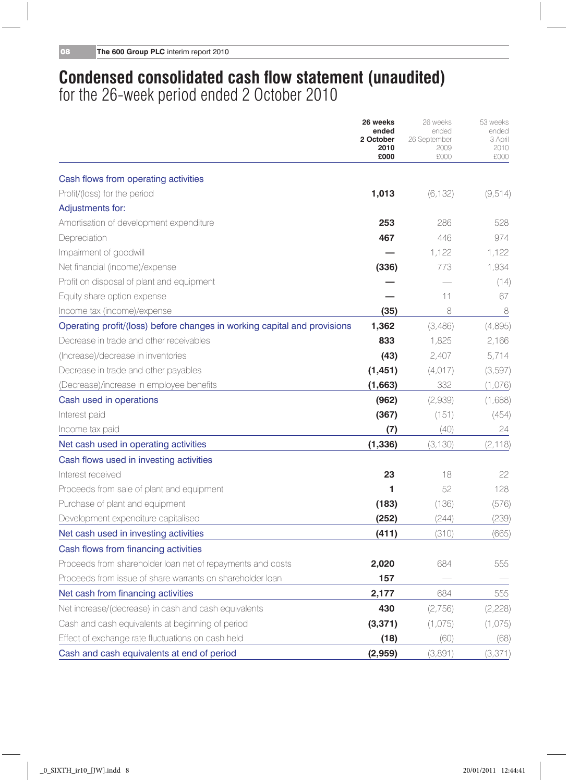## **Condensed consolidated cash flow statement (unaudited)** for the 26-week period ended 2 October 2010

|                                                                          | 26 weeks<br>ended<br>2 October<br>2010<br>£000 | 26 weeks<br>ended<br>26 September<br>2009<br>£000 | 53 weeks<br>ended<br>3 April<br>2010<br>£000 |
|--------------------------------------------------------------------------|------------------------------------------------|---------------------------------------------------|----------------------------------------------|
| Cash flows from operating activities                                     |                                                |                                                   |                                              |
| Profit/(loss) for the period                                             | 1,013                                          | (6, 132)                                          | (9, 514)                                     |
| Adjustments for:                                                         |                                                |                                                   |                                              |
| Amortisation of development expenditure                                  | 253                                            | 286                                               | 528                                          |
| Depreciation                                                             | 467                                            | 446                                               | 974                                          |
| Impairment of goodwill                                                   |                                                | 1,122                                             | 1,122                                        |
| Net financial (income)/expense                                           | (336)                                          | 773                                               | 1,934                                        |
| Profit on disposal of plant and equipment                                |                                                |                                                   | (14)                                         |
| Equity share option expense                                              |                                                | 11                                                | 67                                           |
| Income tax (income)/expense                                              | (35)                                           | 8                                                 | 8                                            |
| Operating profit/(loss) before changes in working capital and provisions | 1,362                                          | (3,486)                                           | (4,895)                                      |
| Decrease in trade and other receivables                                  | 833                                            | 1,825                                             | 2,166                                        |
| (Increase)/decrease in inventories                                       | (43)                                           | 2.407                                             | 5.714                                        |
| Decrease in trade and other payables                                     | (1, 451)                                       | (4,017)                                           | (3, 597)                                     |
| (Decrease)/increase in employee benefits                                 | (1,663)                                        | 332                                               | (1,076)                                      |
| Cash used in operations                                                  | (962)                                          | (2,939)                                           | (1,688)                                      |
| Interest paid                                                            | (367)                                          | (151)                                             | (454)                                        |
| Income tax paid                                                          | (7)                                            | (40)                                              | 24                                           |
| Net cash used in operating activities                                    | (1, 336)                                       | (3, 130)                                          | (2, 118)                                     |
| Cash flows used in investing activities                                  |                                                |                                                   |                                              |
| Interest received                                                        | 23                                             | 18                                                | 22                                           |
| Proceeds from sale of plant and equipment                                | 1                                              | 52                                                | 128                                          |
| Purchase of plant and equipment                                          | (183)                                          | (136)                                             | (576)                                        |
| Development expenditure capitalised                                      | (252)                                          | (244)                                             | (239)                                        |
| Net cash used in investing activities                                    | (411)                                          | (310)                                             | (665)                                        |
| Cash flows from financing activities                                     |                                                |                                                   |                                              |
| Proceeds from shareholder loan net of repayments and costs               | 2,020                                          | 684                                               | 555                                          |
| Proceeds from issue of share warrants on shareholder loan                | 157                                            |                                                   |                                              |
| Net cash from financing activities                                       | 2,177                                          | 684                                               | 555                                          |
| Net increase/(decrease) in cash and cash equivalents                     | 430                                            | (2,756)                                           | (2,228)                                      |
| Cash and cash equivalents at beginning of period                         | (3, 371)                                       | (1,075)                                           | (1,075)                                      |
| Effect of exchange rate fluctuations on cash held                        | (18)                                           | (60)                                              | (68)                                         |
| Cash and cash equivalents at end of period                               | (2,959)                                        | (3,891)                                           | (3, 371)                                     |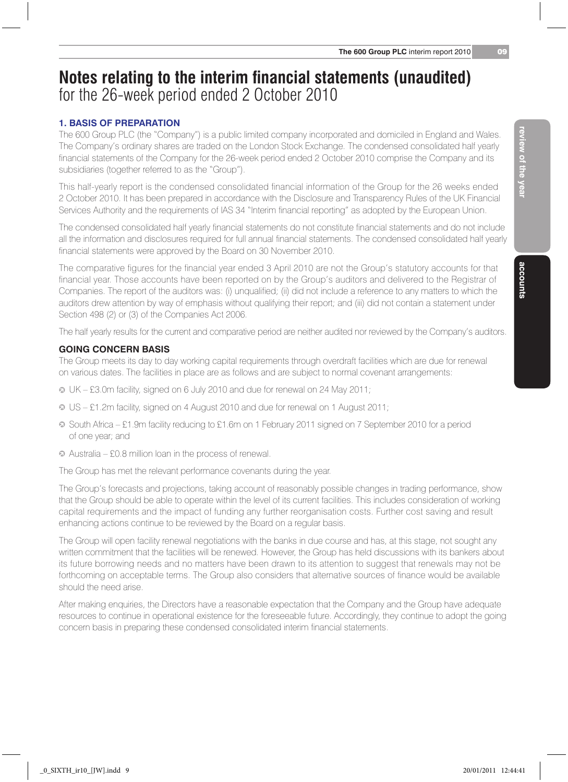#### **1. Basis of preparation**

The 600 Group PLC (the "Company") is a public limited company incorporated and domiciled in England and Wales. The Company's ordinary shares are traded on the London Stock Exchange. The condensed consolidated half yearly financial statements of the Company for the 26-week period ended 2 October 2010 comprise the Company and its subsidiaries (together referred to as the "Group").

This half-yearly report is the condensed consolidated financial information of the Group for the 26 weeks ended 2 October 2010. It has been prepared in accordance with the Disclosure and Transparency Rules of the UK Financial Services Authority and the requirements of IAS 34 "Interim financial reporting" as adopted by the European Union.

The condensed consolidated half yearly financial statements do not constitute financial statements and do not include all the information and disclosures required for full annual financial statements. The condensed consolidated half yearly financial statements were approved by the Board on 30 November 2010.

The comparative figures for the financial year ended 3 April 2010 are not the Group's statutory accounts for that financial year. Those accounts have been reported on by the Group's auditors and delivered to the Registrar of Companies. The report of the auditors was: (i) unqualified; (ii) did not include a reference to any matters to which the auditors drew attention by way of emphasis without qualifying their report; and (iii) did not contain a statement under Section 498 (2) or (3) of the Companies Act 2006.

The half yearly results for the current and comparative period are neither audited nor reviewed by the Company's auditors.

#### **Going concern basis**

The Group meets its day to day working capital requirements through overdraft facilities which are due for renewal on various dates. The facilities in place are as follows and are subject to normal covenant arrangements:

- j UK £3.0m facility, signed on 6 July 2010 and due for renewal on 24 May 2011;
- j US £1.2m facility, signed on 4 August 2010 and due for renewal on 1 August 2011;
- j South Africa £1.9m facility reducing to £1.6m on 1 February 2011 signed on 7 September 2010 for a period of one year; and
- j Australia £0.8 million loan in the process of renewal.

The Group has met the relevant performance covenants during the year.

The Group's forecasts and projections, taking account of reasonably possible changes in trading performance, show that the Group should be able to operate within the level of its current facilities. This includes consideration of working capital requirements and the impact of funding any further reorganisation costs. Further cost saving and result enhancing actions continue to be reviewed by the Board on a regular basis.

The Group will open facility renewal negotiations with the banks in due course and has, at this stage, not sought any written commitment that the facilities will be renewed. However, the Group has held discussions with its bankers about its future borrowing needs and no matters have been drawn to its attention to suggest that renewals may not be forthcoming on acceptable terms. The Group also considers that alternative sources of finance would be available should the need arise.

After making enquiries, the Directors have a reasonable expectation that the Company and the Group have adequate resources to continue in operational existence for the foreseeable future. Accordingly, they continue to adopt the going concern basis in preparing these condensed consolidated interim financial statements.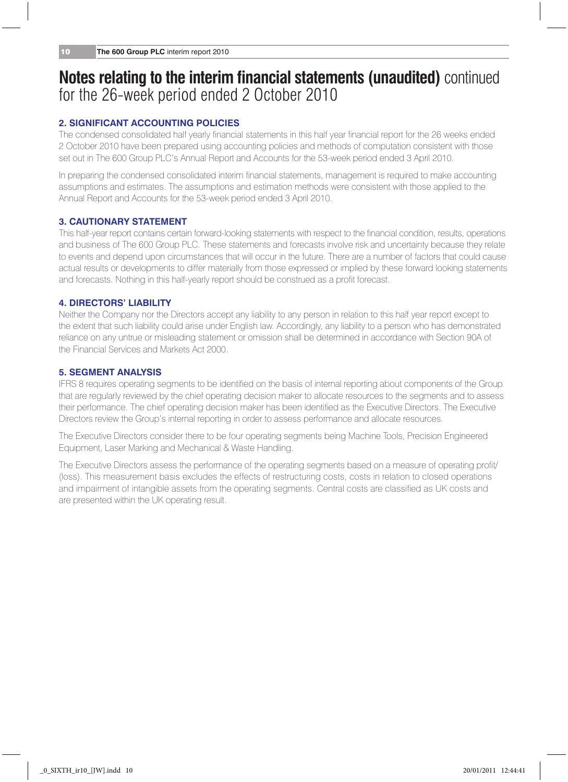#### **2. Significant accounting policies**

The condensed consolidated half yearly financial statements in this half year financial report for the 26 weeks ended 2 October 2010 have been prepared using accounting policies and methods of computation consistent with those set out in The 600 Group PLC's Annual Report and Accounts for the 53-week period ended 3 April 2010.

In preparing the condensed consolidated interim financial statements, management is required to make accounting assumptions and estimates. The assumptions and estimation methods were consistent with those applied to the Annual Report and Accounts for the 53-week period ended 3 April 2010.

#### **3. Cautionary Statement**

This half-year report contains certain forward-looking statements with respect to the financial condition, results, operations and business of The 600 Group PLC. These statements and forecasts involve risk and uncertainty because they relate to events and depend upon circumstances that will occur in the future. There are a number of factors that could cause actual results or developments to differ materially from those expressed or implied by these forward looking statements and forecasts. Nothing in this half-yearly report should be construed as a profit forecast.

#### **4. Directors' Liability**

Neither the Company nor the Directors accept any liability to any person in relation to this half year report except to the extent that such liability could arise under English law. Accordingly, any liability to a person who has demonstrated reliance on any untrue or misleading statement or omission shall be determined in accordance with Section 90A of the Financial Services and Markets Act 2000.

#### **5. Segment analysis**

IFRS 8 requires operating segments to be identified on the basis of internal reporting about components of the Group that are regularly reviewed by the chief operating decision maker to allocate resources to the segments and to assess their performance. The chief operating decision maker has been identified as the Executive Directors. The Executive Directors review the Group's internal reporting in order to assess performance and allocate resources.

The Executive Directors consider there to be four operating segments being Machine Tools, Precision Engineered Equipment, Laser Marking and Mechanical & Waste Handling.

The Executive Directors assess the performance of the operating segments based on a measure of operating profit/ (loss). This measurement basis excludes the effects of restructuring costs, costs in relation to closed operations and impairment of intangible assets from the operating segments. Central costs are classified as UK costs and are presented within the UK operating result.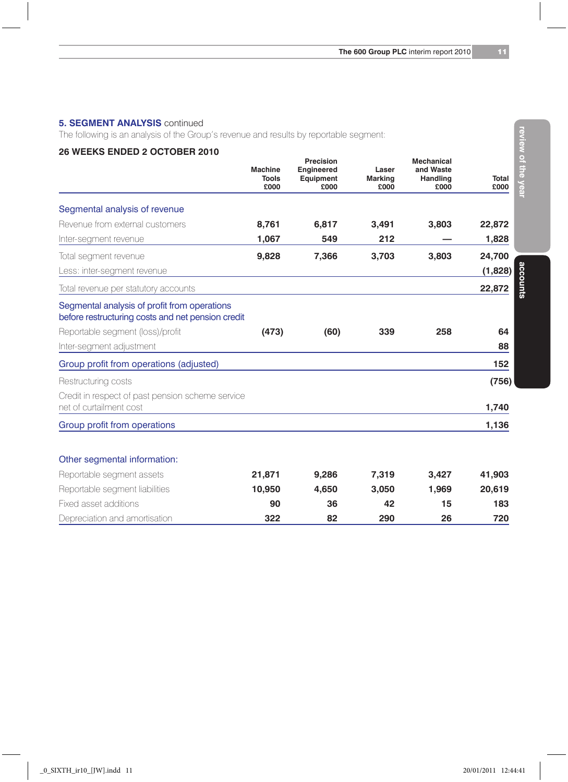#### **5. SEGMENT ANALYSIS** continued

The following is an analysis of the Group's revenue and results by reportable segment:

#### **26 Weeks ended 2 October 2010**

|                                                                                                   | Machine<br><b>Tools</b> | Precision<br>Engineered<br>Equipment | Laser<br><b>Marking</b> | Mechanical<br>and Waste<br>Handling | Total   |
|---------------------------------------------------------------------------------------------------|-------------------------|--------------------------------------|-------------------------|-------------------------------------|---------|
|                                                                                                   | £000                    | <b>COOO</b>                          | £000                    | £000                                | 0003    |
| Segmental analysis of revenue                                                                     |                         |                                      |                         |                                     |         |
| Revenue from external customers                                                                   | 8.761                   | 6.817                                | 3.491                   | 3,803                               | 22,872  |
| Inter-segment revenue                                                                             | 1,067                   | 549                                  | 212                     |                                     | 1,828   |
| Total segment revenue                                                                             | 9,828                   | 7,366                                | 3,703                   | 3,803                               | 24,700  |
| Less: inter-segment revenue                                                                       |                         |                                      |                         |                                     | (1,828) |
| Total revenue per statutory accounts                                                              |                         |                                      |                         |                                     | 22,872  |
| Segmental analysis of profit from operations<br>before restructuring costs and net pension credit |                         |                                      |                         |                                     |         |
| Reportable segment (loss)/profit                                                                  | (473)                   | (60)                                 | 339                     | 258                                 | 64      |
| Inter-segment adjustment                                                                          |                         |                                      |                         |                                     | 88      |
| Group profit from operations (adjusted)                                                           |                         |                                      |                         |                                     | 152     |
| Restructuring costs                                                                               |                         |                                      |                         |                                     | (756)   |
| Credit in respect of past pension scheme service<br>net of curtailment cost                       |                         |                                      |                         |                                     | 1,740   |
| Group profit from operations                                                                      |                         |                                      |                         |                                     | 1,136   |
|                                                                                                   |                         |                                      |                         |                                     |         |
| Other segmental information:                                                                      |                         |                                      |                         |                                     |         |
| Reportable segment assets                                                                         | 21,871                  | 9,286                                | 7,319                   | 3,427                               | 41,903  |
| Reportable segment liabilities                                                                    | 10,950                  | 4,650                                | 3,050                   | 1,969                               | 20,619  |
| Fixed asset additions                                                                             | 90                      | 36                                   | 42                      | 15                                  | 183     |
| Depreciation and amortisation                                                                     | 322                     | 82                                   | 290                     | 26                                  | 720     |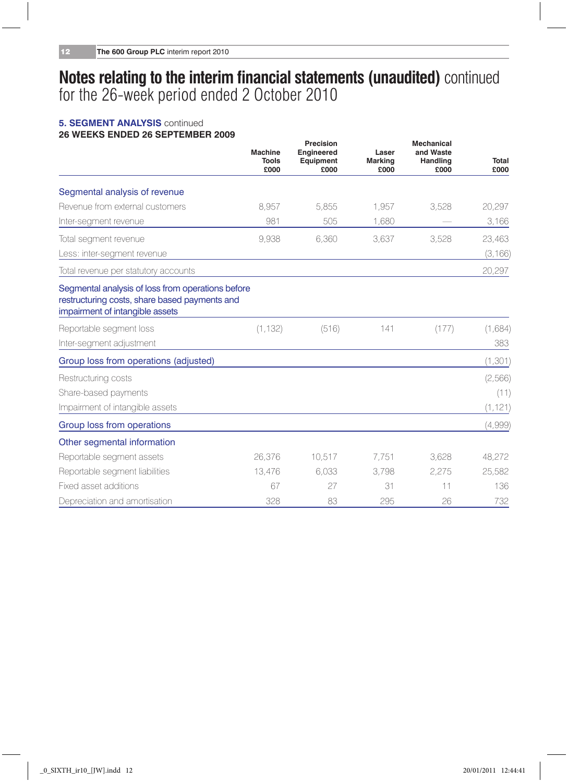#### **5. SEGMENT ANALYSIS** continued **26 Weeks ended 26 September 2009 Precision Mechanical**

|                                                                                                                                       | Machine<br>Tools<br>£000 | Precision<br><b>Engineered</b><br>Equipment<br>£000 | Laser<br><b>Marking</b><br>£000 | <b>Mechanical</b><br>and Waste<br>Handling<br>£000 | Total<br>£000 |
|---------------------------------------------------------------------------------------------------------------------------------------|--------------------------|-----------------------------------------------------|---------------------------------|----------------------------------------------------|---------------|
| Segmental analysis of revenue                                                                                                         |                          |                                                     |                                 |                                                    |               |
| Revenue from external customers                                                                                                       | 8.957                    | 5.855                                               | 1.957                           | 3,528                                              | 20,297        |
| Inter-segment revenue                                                                                                                 | 981                      | 505                                                 | 1,680                           |                                                    | 3,166         |
| Total segment revenue                                                                                                                 | 9.938                    | 6,360                                               | 3.637                           | 3.528                                              | 23,463        |
| Less: inter-segment revenue                                                                                                           |                          |                                                     |                                 |                                                    | (3, 166)      |
| Total revenue per statutory accounts                                                                                                  |                          |                                                     |                                 |                                                    | 20,297        |
| Segmental analysis of loss from operations before<br>restructuring costs, share based payments and<br>impairment of intangible assets |                          |                                                     |                                 |                                                    |               |
| Reportable segment loss                                                                                                               | (1, 132)                 | (516)                                               | 141                             | (177)                                              | (1,684)       |
| Inter-segment adjustment                                                                                                              |                          |                                                     |                                 |                                                    | 383           |
| Group loss from operations (adjusted)                                                                                                 |                          |                                                     |                                 |                                                    | (1, 301)      |
| Restructuring costs                                                                                                                   |                          |                                                     |                                 |                                                    | (2,566)       |
| Share-based payments                                                                                                                  |                          |                                                     |                                 |                                                    | (11)          |
| Impairment of intangible assets                                                                                                       |                          |                                                     |                                 |                                                    | (1, 121)      |
| Group loss from operations                                                                                                            |                          |                                                     |                                 |                                                    | (4,999)       |
| Other segmental information                                                                                                           |                          |                                                     |                                 |                                                    |               |
| Reportable segment assets                                                                                                             | 26,376                   | 10.517                                              | 7.751                           | 3.628                                              | 48.272        |
| Reportable segment liabilities                                                                                                        | 13,476                   | 6.033                                               | 3.798                           | 2.275                                              | 25.582        |
| Fixed asset additions                                                                                                                 | 67                       | 27                                                  | 31                              | 11                                                 | 136           |
| Depreciation and amortisation                                                                                                         | 328                      | 83                                                  | 295                             | 26                                                 | 732           |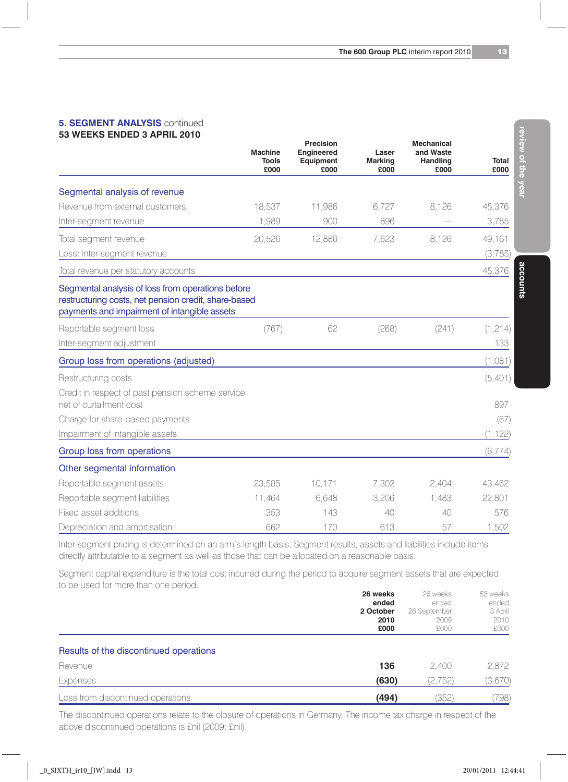#### **5. SEGMENT ANALYSIS** continued **53 weeks ended 3 April 2010**

|                                                                                                                                                           | <b>Machine</b><br>Tools<br>£000 | Precision<br>Engineered<br>Equipment<br>£000 | Laser<br>Marking<br>£000 | <b>Mechanical</b><br>and Waste<br>Handling<br>£000 | Total<br>£000 |
|-----------------------------------------------------------------------------------------------------------------------------------------------------------|---------------------------------|----------------------------------------------|--------------------------|----------------------------------------------------|---------------|
| Segmental analysis of revenue                                                                                                                             |                                 |                                              |                          |                                                    |               |
| Revenue from external customers                                                                                                                           | 18.537                          | 11,986                                       | 6.727                    | 8.126                                              | 45,376        |
| Inter-segment revenue                                                                                                                                     | 1,989                           | 900                                          | 896                      |                                                    | 3,785         |
| Total segment revenue                                                                                                                                     | 20,526                          | 12,886                                       | 7,623                    | 8.126                                              | 49,161        |
| Less: inter-segment revenue                                                                                                                               |                                 |                                              |                          |                                                    | (3,785)       |
| Total revenue per statutory accounts                                                                                                                      |                                 |                                              |                          |                                                    | 45,376        |
| Segmental analysis of loss from operations before<br>restructuring costs, net pension credit, share-based<br>payments and impairment of intangible assets |                                 |                                              |                          |                                                    |               |
| Reportable segment loss                                                                                                                                   | (767)                           | 62                                           | (268)                    | (241)                                              | (1, 214)      |
| Inter-segment adjustment                                                                                                                                  |                                 |                                              |                          |                                                    | 133           |
| Group loss from operations (adjusted)                                                                                                                     |                                 |                                              |                          |                                                    | (1,081)       |
| Restructuring costs                                                                                                                                       |                                 |                                              |                          |                                                    | (5,401)       |
| Credit in respect of past pension scheme service<br>net of curtailment cost                                                                               |                                 |                                              |                          |                                                    | 897           |
| Charge for share-based payments                                                                                                                           |                                 |                                              |                          |                                                    | (67)          |
| Impairment of intangible assets                                                                                                                           |                                 |                                              |                          |                                                    | (1, 122)      |
| Group loss from operations                                                                                                                                |                                 |                                              |                          |                                                    | (6, 774)      |
| Other segmental information                                                                                                                               |                                 |                                              |                          |                                                    |               |
| Reportable segment assets                                                                                                                                 | 23,585                          | 10.171                                       | 7.302                    | 2.404                                              | 43,462        |
| Reportable segment liabilities                                                                                                                            | 11.464                          | 6.648                                        | 3,206                    | 1.483                                              | 22,801        |
| Fixed asset additions                                                                                                                                     | 353                             | 143                                          | 40                       | 40                                                 | 576           |
| Depreciation and amortisation                                                                                                                             | 662                             | 170                                          | 613                      | 57                                                 | 1.502         |

Inter-segment pricing is determined on an arm's length basis. Segment results, assets and liabilities include items directly attributable to a segment as well as those that can be allocated on a reasonable basis.

Segment capital expenditure is the total cost incurred during the period to acquire segment assets that are expected to be used for more than one period.

|                                        | 26 weeks  | 26 weeks     | 53 weeks |
|----------------------------------------|-----------|--------------|----------|
|                                        | ended     | ended        | ended    |
|                                        | 2 October | 26 September | 3 April  |
|                                        | 2010      | 2009         | 2010     |
|                                        | £000      | £000         | £000     |
| Results of the discontinued operations |           |              |          |
| Revenue                                | 136       | 2.400        | 2,872    |
| Expenses                               | (630)     | (2, 752)     | (3,670)  |
| Loss from discontinued operations      | (494)     | (352)        | (798)    |
|                                        |           |              |          |

The discontinued operations relate to the closure of operations in Germany. The income tax charge in respect of the above discontinued operations is £nil (2009: £nil).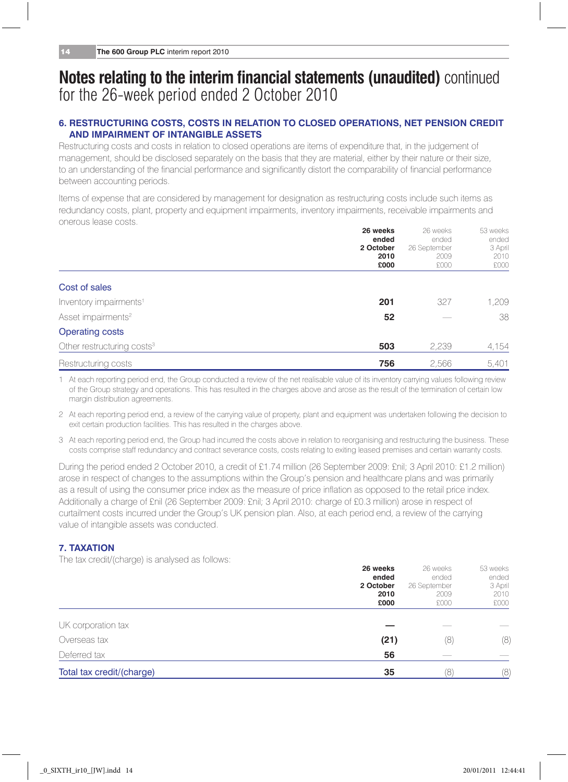#### **6. Restructuring costs, costs in relation to closed operations, net pension credit and impairment of intangible assets**

Restructuring costs and costs in relation to closed operations are items of expenditure that, in the judgement of management, should be disclosed separately on the basis that they are material, either by their nature or their size, to an understanding of the financial performance and significantly distort the comparability of financial performance between accounting periods.

Items of expense that are considered by management for designation as restructuring costs include such items as redundancy costs, plant, property and equipment impairments, inventory impairments, receivable impairments and onerous lease costs. **26 weeks** 26 weeks 53 weeks

|                                        | 26 weeks<br>ended<br>2 October | 26 weeks<br>ended<br>26 September | 53 weeks<br>ended<br>3 April |
|----------------------------------------|--------------------------------|-----------------------------------|------------------------------|
|                                        | 2010<br>£000                   | 2009<br>£000                      | 2010<br>£000                 |
| Cost of sales                          |                                |                                   |                              |
| Inventory impairments <sup>1</sup>     | 201                            | 327                               | 1,209                        |
| Asset impairments <sup>2</sup>         | 52                             |                                   | 38                           |
| <b>Operating costs</b>                 |                                |                                   |                              |
| Other restructuring costs <sup>3</sup> | 503                            | 2.239                             | 4,154                        |
| Restructuring costs                    | 756                            | 2.566                             | 5.401                        |

1 At each reporting period end, the Group conducted a review of the net realisable value of its inventory carrying values following review of the Group strategy and operations. This has resulted in the charges above and arose as the result of the termination of certain low margin distribution agreements.

2 At each reporting period end, a review of the carrying value of property, plant and equipment was undertaken following the decision to exit certain production facilities. This has resulted in the charges above.

3 At each reporting period end, the Group had incurred the costs above in relation to reorganising and restructuring the business. These costs comprise staff redundancy and contract severance costs, costs relating to exiting leased premises and certain warranty costs.

During the period ended 2 October 2010, a credit of £1.74 million (26 September 2009: £nil; 3 April 2010: £1.2 million) arose in respect of changes to the assumptions within the Group's pension and healthcare plans and was primarily as a result of using the consumer price index as the measure of price inflation as opposed to the retail price index. Additionally a charge of £nil (26 September 2009: £nil; 3 April 2010: charge of £0.3 million) arose in respect of curtailment costs incurred under the Group's UK pension plan. Also, at each period end, a review of the carrying value of intangible assets was conducted.

#### **7. Taxation**

The tax credit/(charge) is analysed as follows:

| Total tax credit/(charge) | 35                | 18                | (8)               |
|---------------------------|-------------------|-------------------|-------------------|
| Deferred tax              | 56                |                   |                   |
| Overseas tax              | (21)              | (8)               | (8)               |
| UK corporation tax        |                   |                   |                   |
|                           | £000              | £000              | £000              |
|                           | 2010              | 2009              | 2010              |
|                           | 2 October         | 26 September      | 3 April           |
|                           | 26 weeks<br>ended | 26 weeks<br>ended | 53 weeks<br>ended |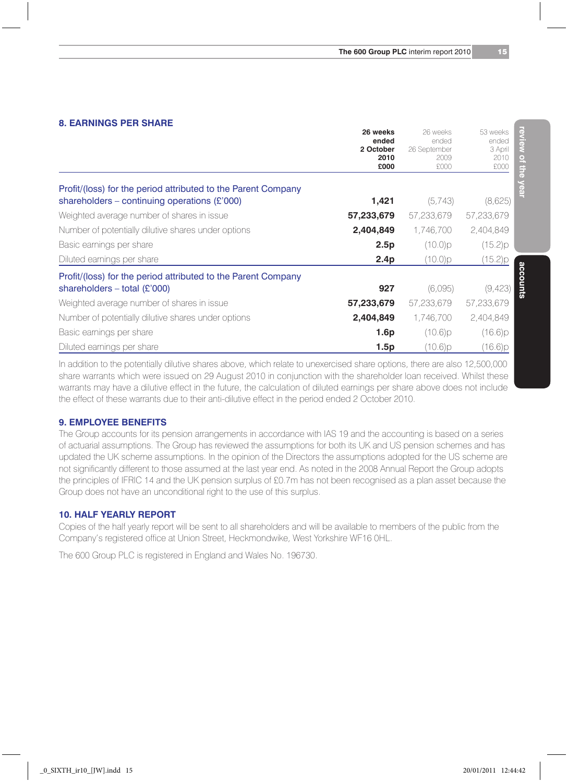#### **8. Earnings per share**

|                                                               | 26 weeks<br>ended<br>2 October<br>2010 | 26 weeks<br>ended<br>26 September<br>2009 | 53 weeks<br>ended<br>3 April<br>2010 |
|---------------------------------------------------------------|----------------------------------------|-------------------------------------------|--------------------------------------|
|                                                               | £000                                   | £000                                      | £000                                 |
| Profit/(loss) for the period attributed to the Parent Company |                                        |                                           |                                      |
| shareholders – continuing operations $(E'000)$                | 1,421                                  | (5,743)                                   | (8,625)                              |
| Weighted average number of shares in issue                    | 57,233,679                             | 57,233,679                                | 57,233,679                           |
| Number of potentially dilutive shares under options           | 2,404,849                              | 1.746.700                                 | 2,404,849                            |
| Basic earnings per share                                      | 2.5p                                   | (10.0)p                                   | (15.2)p                              |
| Diluted earnings per share                                    | 2.4 <sub>p</sub>                       | (10.0)p                                   | (15.2)p                              |
| Profit/(loss) for the period attributed to the Parent Company |                                        |                                           |                                      |
| shareholders $-$ total (£'000)                                | 927                                    | (6,095)                                   | (9,423)                              |
| Weighted average number of shares in issue                    | 57,233,679                             | 57,233,679                                | 57,233,679                           |
| Number of potentially dilutive shares under options           | 2,404,849                              | 1,746,700                                 | 2,404,849                            |
| Basic earnings per share                                      | 1.6p                                   | (10.6)p                                   | (16.6)p                              |
| Diluted earnings per share                                    | 1.5p                                   | (10.6)p                                   | (16.6)p                              |

In addition to the potentially dilutive shares above, which relate to unexercised share options, there are also 12,500,000 share warrants which were issued on 29 August 2010 in conjunction with the shareholder loan received. Whilst these warrants may have a dilutive effect in the future, the calculation of diluted earnings per share above does not include the effect of these warrants due to their anti-dilutive effect in the period ended 2 October 2010.

#### **9. Employee benefits**

The Group accounts for its pension arrangements in accordance with IAS 19 and the accounting is based on a series of actuarial assumptions. The Group has reviewed the assumptions for both its UK and US pension schemes and has updated the UK scheme assumptions. In the opinion of the Directors the assumptions adopted for the US scheme are not significantly different to those assumed at the last year end. As noted in the 2008 Annual Report the Group adopts the principles of IFRIC 14 and the UK pension surplus of £0.7m has not been recognised as a plan asset because the Group does not have an unconditional right to the use of this surplus.

#### **10. Half Yearly report**

Copies of the half yearly report will be sent to all shareholders and will be available to members of the public from the Company's registered office at Union Street, Heckmondwike, West Yorkshire WF16 0HL.

The 600 Group PLC is registered in England and Wales No. 196730.

**review of the year**

review of the year

**accounts**

accounts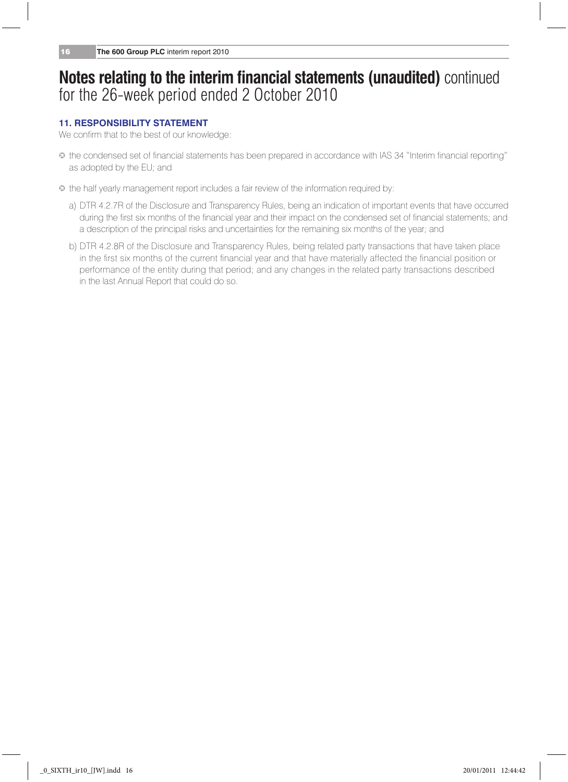#### **11. Responsibility statement**

We confirm that to the best of our knowledge:

- j the condensed set of financial statements has been prepared in accordance with IAS 34 "Interim financial reporting" as adopted by the EU; and
- $\bullet$  the half yearly management report includes a fair review of the information required by:
	- a) DTR 4.2.7R of the Disclosure and Transparency Rules, being an indication of important events that have occurred during the first six months of the financial year and their impact on the condensed set of financial statements; and a description of the principal risks and uncertainties for the remaining six months of the year; and
	- b) DTR 4.2.8R of the Disclosure and Transparency Rules, being related party transactions that have taken place in the first six months of the current financial year and that have materially affected the financial position or performance of the entity during that period; and any changes in the related party transactions described in the last Annual Report that could do so.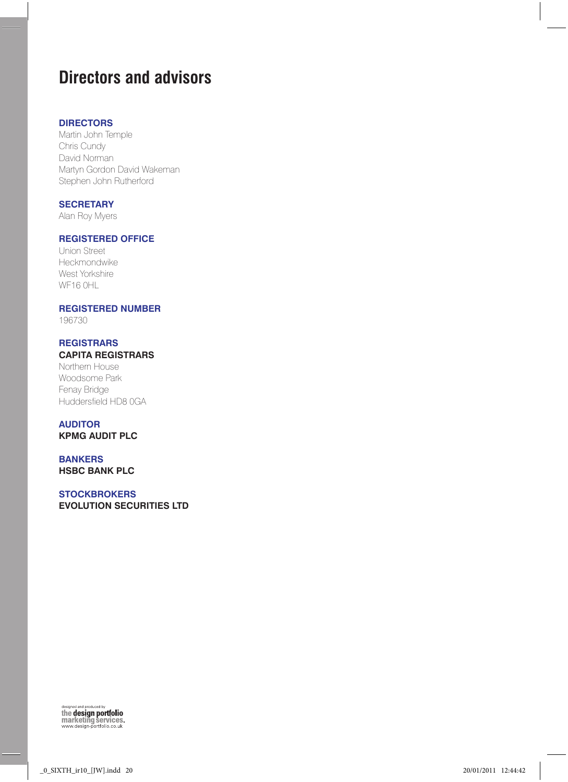# **Directors and advisors**

#### **Directors**

Martin John Temple Chris Cundy David Norman Martyn Gordon David Wakeman Stephen John Rutherford

#### **Secretary**

Alan Roy Myers

#### **Registered office**

Union Street Heckmondwike West Yorkshire WF16 0HL

#### **Registered number**

196730

#### **Registrars Capita Registrars**

Northern House Woodsome Park Fenay Bridge Huddersfield HD8 0GA

## **Auditor**

**KPMG Audit Plc**

#### **Bankers HSBC Bank plc**

#### **STOCKBROKERS**

**Evolution Securities Ltd**